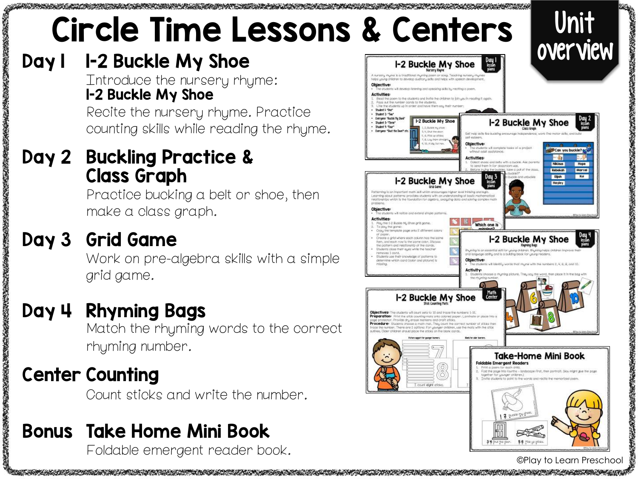# Circle Time Lessons & Centers | Unit

#### Day 1 1-2 Buckle My Shoe

Introduce the nursery rhyme: 1-2 Buckle My Shoe

Recite the nursery rhyme. Practice counting skills while reading the rhyme.

#### Day 2 Buckling Practice & Class Graph

Practice bucking a belt or shoe, then make a class graph.

#### Day 3 Grid Game

Work on pre-algebra skills with a simple grid game.

#### Day 4 Rhyming Bags

Match the rhyming words to the correct rhyming number.

#### Center Counting

Count sticks and write the number.

#### Bonus Take Home Mini Book

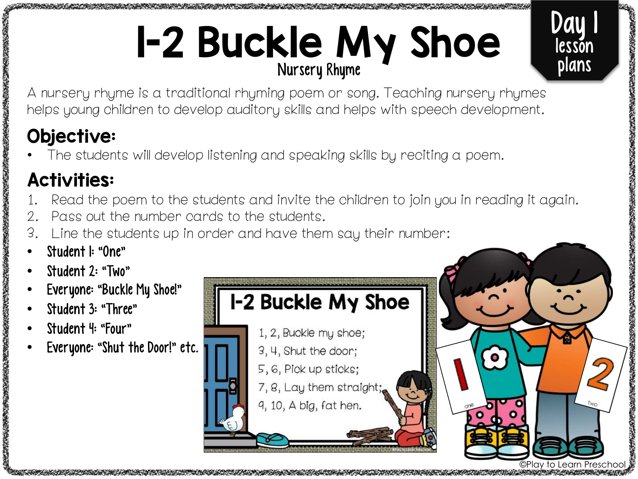# 1-2 Buckle My Shoe Nursery Rhyme

A nursery rhyme is a traditional rhyming poem or song. Teaching nursery rhymes helps young children to develop auditory skills and helps with speech development.

#### Objective:

The students will develop listening and speaking skills by reciting a poem.

#### Activities:

- Read the poem to the students and invite the children to join you in reading it again.
- 2. Pass out the number cards to the students.
- 3. Line the students up in order and have them say their number:
- Student I: "One"
- Student 2: "Two"

「そのことのことを見ていることを見ることになった」ということをいうことをいうことをいうことをしていることをしていることをしていることをしていることをしていることをしていることをしていることをしているこ

- Everyone: "Buckle My Shoe!"
- Student 3: "Three"
- Student 4: "Four"
- Everyone: "Shut the Door!" etc.



Day 1

lesson

plans

おんな あんない あんのう あんか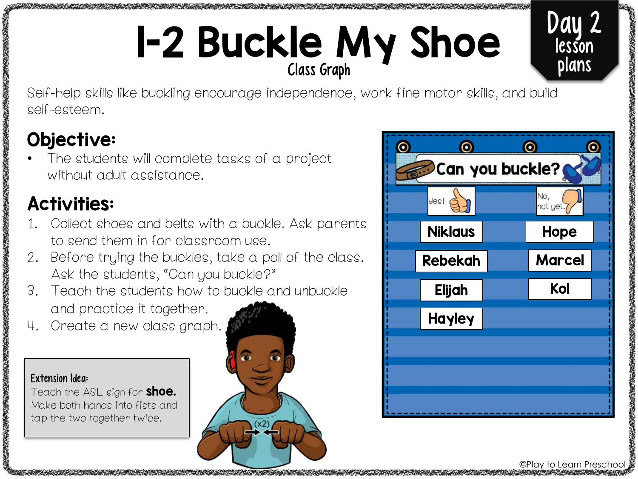## 1-2 Buckle My Shoe Class Graph

Day 2 lesson plans

Self-help skills like buckling encourage independence, work fine motor skills, and build self-esteem.

#### Objective:

The students will complete tasks of a project without adult assistance.

#### Activities:

- 1. Collect shoes and belts with a buckle. Ask parents to send them in for classroom use.
- 2. Before trying the buckles, take a poll of the class. Ask the students, "Can you buckle?"
- 3. Teach the students how to buckle and unbuckle and practice it together.
- 4. Create a new class graph.

#### Extension Idea:

おもんですのですから、このことをすることをしているのです。 かんじょう あいしゃ かんじょう こうかん アクセス しんしょう かんしゅう

大学の生活の大学の歌曲の かいこうしょう あいのう

Teach the ASL sign for **shoe.** Make both hands into fists and tap the two together twice.





©Play to Learn Preschool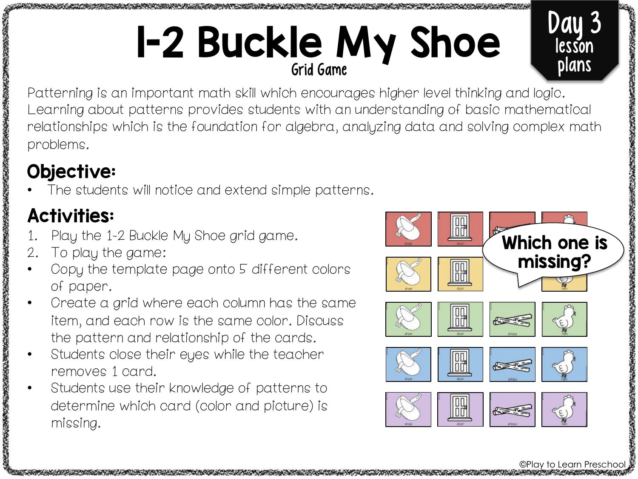### 1-2 Buckle My Shoe Grid Game



#### Objective:

The students will notice and extend simple patterns.

#### Activities:

- Play the 1-2 Buckle My Shoe grid game.
- 2. To play the game:
- Copy the template page onto 5 different colors of paper.
- Create a grid where each column has the same item, and each row is the same color. Discuss the pattern and relationship of the cards.
- Students close their eyes while the teacher removes 1 card.
- Students use their knowledge of patterns to determine which card (color and picture) is missing.



©Play to Learn Pres

Day 3

lesson

plans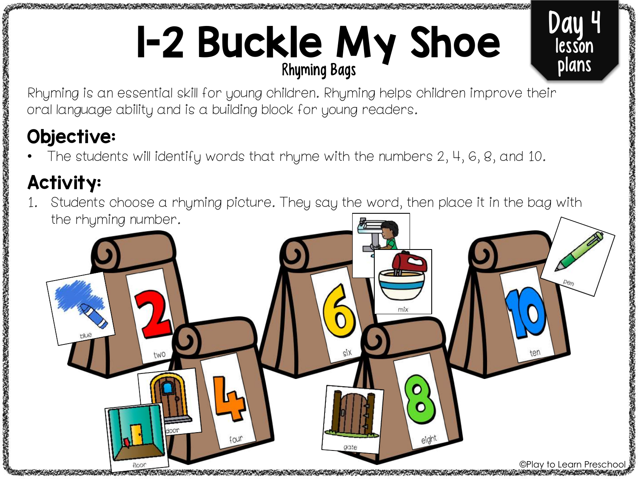# 1-2 Buckle My Shoe Rhyming Bags

Day

lesson plans

大阪のあるのです

Rhyming is an essential skill for young children. Rhyming helps children improve their oral language ability and is a building block for young readers.

#### Objective:

• The students will identify words that rhyme with the numbers 2, 4, 6, 8, and 10.

#### Activity:

Students choose a rhyming picture. They say the word, then place it in the bag with the rhyming number.

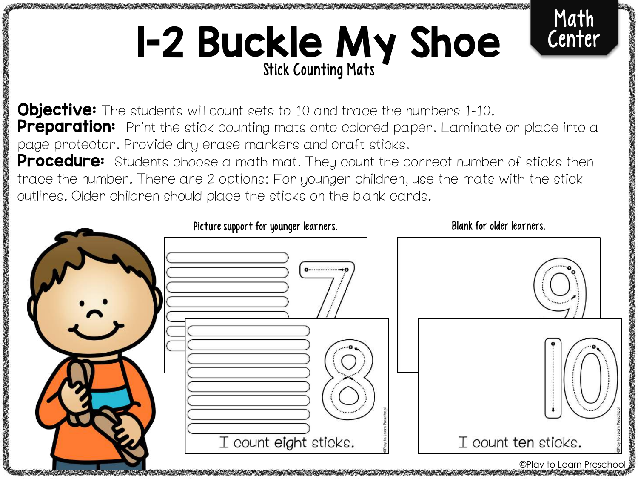# **1-2 Buckle My Shoe**



**Objective:** The students will count sets to 10 and trace the numbers 1-10. Preparation: Print the stick counting mats onto colored paper. Laminate or place into a page protector. Provide dry erase markers and craft sticks.

Procedure: Students choose a math mat. They count the correct number of sticks then trace the number. There are 2 options: For younger children, use the mats with the stick outlines. Older children should place the sticks on the blank cards.



医大脑下腺炎 化最高效率 计数字系统

©Play to Learn Prescho